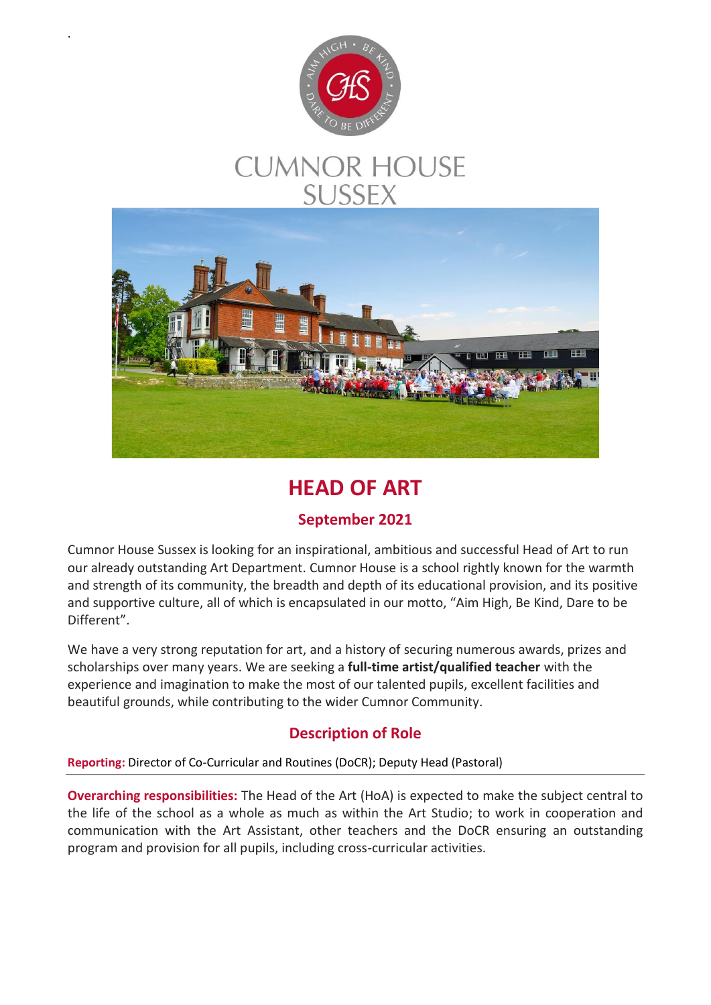

.

# **CUMNOR HOUSE SUSSEX**



## **HEAD OF ART**

## **September 2021**

Cumnor House Sussex is looking for an inspirational, ambitious and successful Head of Art to run our already outstanding Art Department. Cumnor House is a school rightly known for the warmth and strength of its community, the breadth and depth of its educational provision, and its positive and supportive culture, all of which is encapsulated in our motto, "Aim High, Be Kind, Dare to be Different".

We have a very strong reputation for art, and a history of securing numerous awards, prizes and scholarships over many years. We are seeking a **full-time artist/qualified teacher** with the experience and imagination to make the most of our talented pupils, excellent facilities and beautiful grounds, while contributing to the wider Cumnor Community.

## **Description of Role**

#### **Reporting:** Director of Co-Curricular and Routines (DoCR); Deputy Head (Pastoral)

**Overarching responsibilities:** The Head of the Art (HoA) is expected to make the subject central to the life of the school as a whole as much as within the Art Studio; to work in cooperation and communication with the Art Assistant, other teachers and the DoCR ensuring an outstanding program and provision for all pupils, including cross-curricular activities.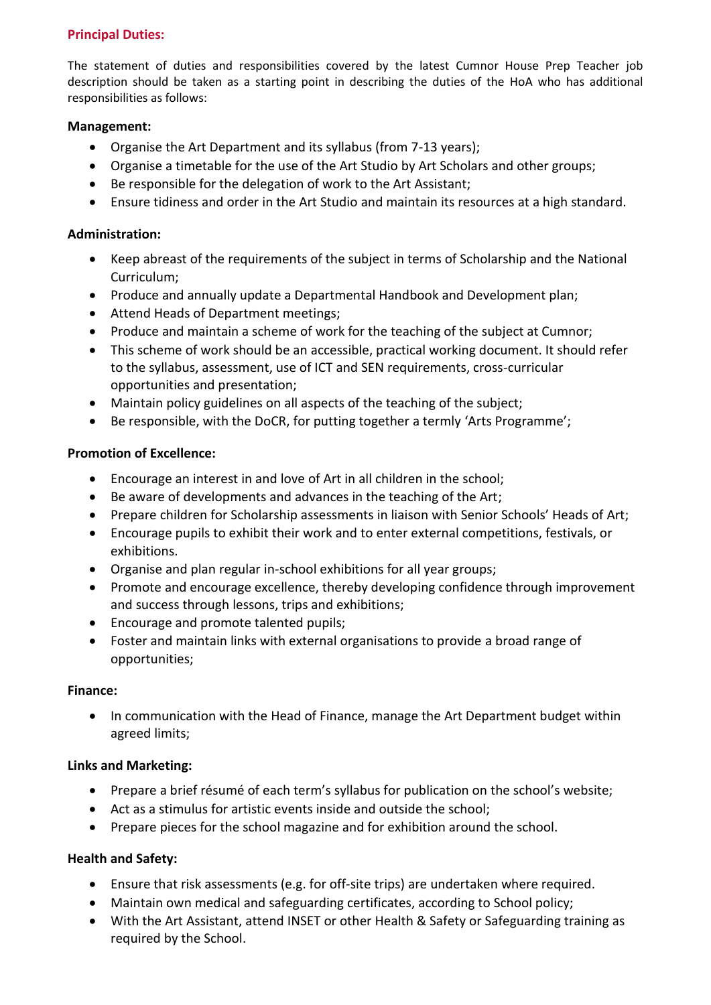#### **Principal Duties:**

The statement of duties and responsibilities covered by the latest Cumnor House Prep Teacher job description should be taken as a starting point in describing the duties of the HoA who has additional responsibilities as follows:

#### **Management:**

- Organise the Art Department and its syllabus (from 7-13 years);
- Organise a timetable for the use of the Art Studio by Art Scholars and other groups;
- Be responsible for the delegation of work to the Art Assistant;
- Ensure tidiness and order in the Art Studio and maintain its resources at a high standard.

#### **Administration:**

- Keep abreast of the requirements of the subject in terms of Scholarship and the National Curriculum;
- Produce and annually update a Departmental Handbook and Development plan;
- Attend Heads of Department meetings;
- Produce and maintain a scheme of work for the teaching of the subject at Cumnor;
- This scheme of work should be an accessible, practical working document. It should refer to the syllabus, assessment, use of ICT and SEN requirements, cross-curricular opportunities and presentation;
- Maintain policy guidelines on all aspects of the teaching of the subject;
- Be responsible, with the DoCR, for putting together a termly 'Arts Programme';

#### **Promotion of Excellence:**

- Encourage an interest in and love of Art in all children in the school;
- Be aware of developments and advances in the teaching of the Art;
- Prepare children for Scholarship assessments in liaison with Senior Schools' Heads of Art;
- Encourage pupils to exhibit their work and to enter external competitions, festivals, or exhibitions.
- Organise and plan regular in-school exhibitions for all year groups;
- Promote and encourage excellence, thereby developing confidence through improvement and success through lessons, trips and exhibitions;
- Encourage and promote talented pupils:
- Foster and maintain links with external organisations to provide a broad range of opportunities;

#### **Finance:**

• In communication with the Head of Finance, manage the Art Department budget within agreed limits;

#### **Links and Marketing:**

- Prepare a brief résumé of each term's syllabus for publication on the school's website;
- Act as a stimulus for artistic events inside and outside the school;
- Prepare pieces for the school magazine and for exhibition around the school.

#### **Health and Safety:**

- Ensure that risk assessments (e.g. for off-site trips) are undertaken where required.
- Maintain own medical and safeguarding certificates, according to School policy;
- With the Art Assistant, attend INSET or other Health & Safety or Safeguarding training as required by the School.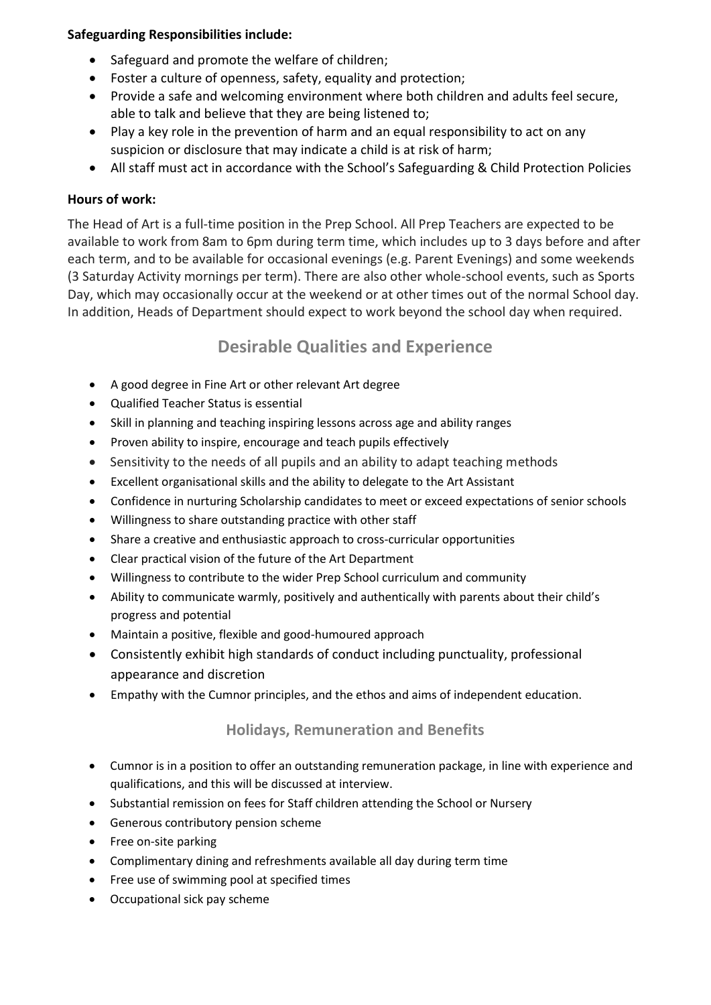#### **Safeguarding Responsibilities include:**

- Safeguard and promote the welfare of children;
- Foster a culture of openness, safety, equality and protection;
- Provide a safe and welcoming environment where both children and adults feel secure, able to talk and believe that they are being listened to;
- Play a key role in the prevention of harm and an equal responsibility to act on any suspicion or disclosure that may indicate a child is at risk of harm;
- All staff must act in accordance with the School's Safeguarding & Child Protection Policies

#### **Hours of work:**

The Head of Art is a full-time position in the Prep School. All Prep Teachers are expected to be available to work from 8am to 6pm during term time, which includes up to 3 days before and after each term, and to be available for occasional evenings (e.g. Parent Evenings) and some weekends (3 Saturday Activity mornings per term). There are also other whole-school events, such as Sports Day, which may occasionally occur at the weekend or at other times out of the normal School day. In addition, Heads of Department should expect to work beyond the school day when required.

## **Desirable Qualities and Experience**

- A good degree in Fine Art or other relevant Art degree
- Qualified Teacher Status is essential
- Skill in planning and teaching inspiring lessons across age and ability ranges
- Proven ability to inspire, encourage and teach pupils effectively
- Sensitivity to the needs of all pupils and an ability to adapt teaching methods
- Excellent organisational skills and the ability to delegate to the Art Assistant
- Confidence in nurturing Scholarship candidates to meet or exceed expectations of senior schools
- Willingness to share outstanding practice with other staff
- Share a creative and enthusiastic approach to cross-curricular opportunities
- Clear practical vision of the future of the Art Department
- Willingness to contribute to the wider Prep School curriculum and community
- Ability to communicate warmly, positively and authentically with parents about their child's progress and potential
- Maintain a positive, flexible and good-humoured approach
- Consistently exhibit high standards of conduct including punctuality, professional appearance and discretion
- Empathy with the Cumnor principles, and the ethos and aims of independent education.

#### **Holidays, Remuneration and Benefits**

- Cumnor is in a position to offer an outstanding remuneration package, in line with experience and qualifications, and this will be discussed at interview.
- Substantial remission on fees for Staff children attending the School or Nursery
- Generous contributory pension scheme
- Free on-site parking
- Complimentary dining and refreshments available all day during term time
- Free use of swimming pool at specified times
- Occupational sick pay scheme